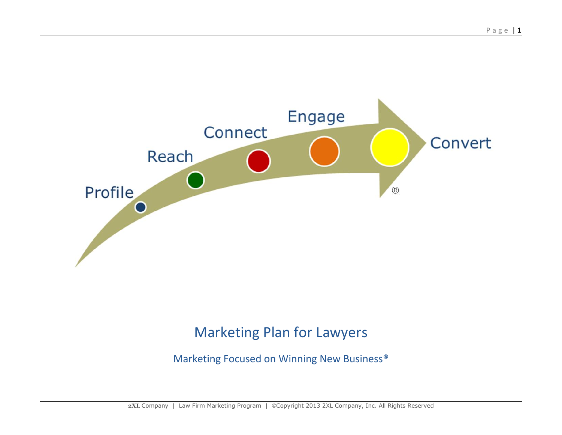

# Marketing Plan for Lawyers

Marketing Focused on Winning New Business®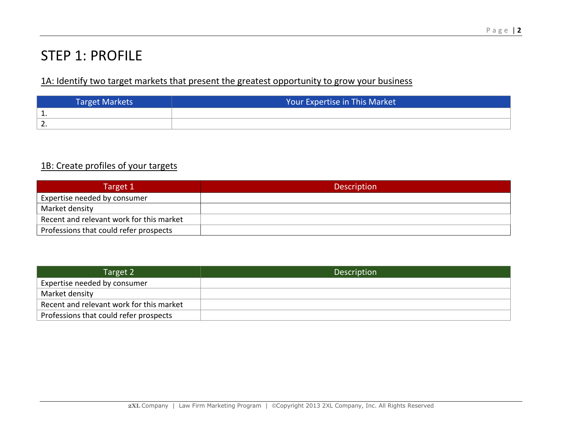## STEP 1: PROFILE

### 1A: Identify two target markets that present the greatest opportunity to grow your business

| <b>Target Markets</b> | Your Expertise in This Market |  |  |
|-----------------------|-------------------------------|--|--|
| <b>L.</b>             |                               |  |  |
| <u>.</u>              |                               |  |  |

### 1B: Create profiles of your targets

| Target 1                                 | <b>Description</b> |
|------------------------------------------|--------------------|
| Expertise needed by consumer             |                    |
| Market density                           |                    |
| Recent and relevant work for this market |                    |
| Professions that could refer prospects   |                    |

| Target 2                                 | <b>Description</b> |
|------------------------------------------|--------------------|
| Expertise needed by consumer             |                    |
| Market density                           |                    |
| Recent and relevant work for this market |                    |
| Professions that could refer prospects   |                    |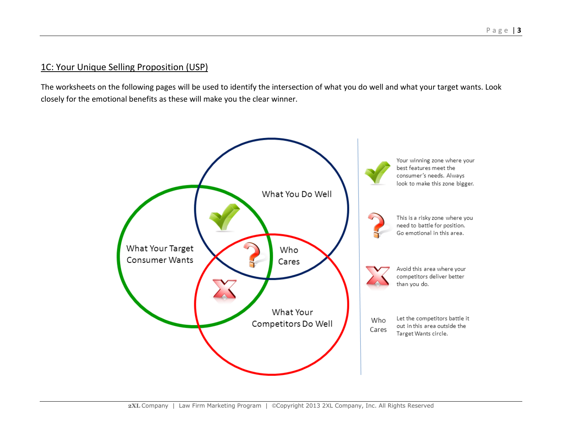#### 1C: Your Unique Selling Proposition (USP)

The worksheets on the following pages will be used to identify the intersection of what you do well and what your target wants. Look closely for the emotional benefits as these will make you the clear winner.

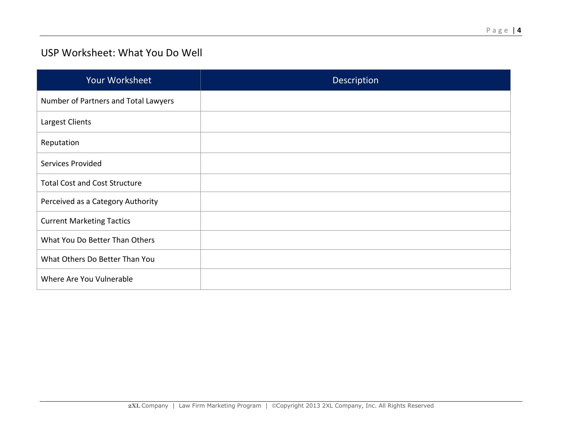### USP Worksheet: What You Do Well

| Your Worksheet                       | <b>Description</b> |
|--------------------------------------|--------------------|
| Number of Partners and Total Lawyers |                    |
| Largest Clients                      |                    |
| Reputation                           |                    |
| Services Provided                    |                    |
| <b>Total Cost and Cost Structure</b> |                    |
| Perceived as a Category Authority    |                    |
| <b>Current Marketing Tactics</b>     |                    |
| What You Do Better Than Others       |                    |
| What Others Do Better Than You       |                    |
| Where Are You Vulnerable             |                    |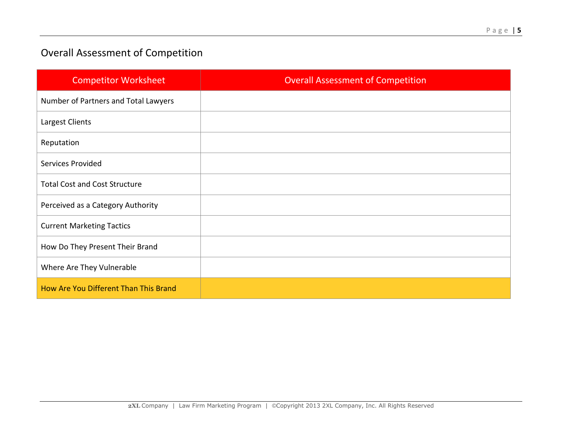## Overall Assessment of Competition

| <b>Competitor Worksheet</b>           | <b>Overall Assessment of Competition</b> |
|---------------------------------------|------------------------------------------|
| Number of Partners and Total Lawyers  |                                          |
| Largest Clients                       |                                          |
| Reputation                            |                                          |
| Services Provided                     |                                          |
| <b>Total Cost and Cost Structure</b>  |                                          |
| Perceived as a Category Authority     |                                          |
| <b>Current Marketing Tactics</b>      |                                          |
| How Do They Present Their Brand       |                                          |
| Where Are They Vulnerable             |                                          |
| How Are You Different Than This Brand |                                          |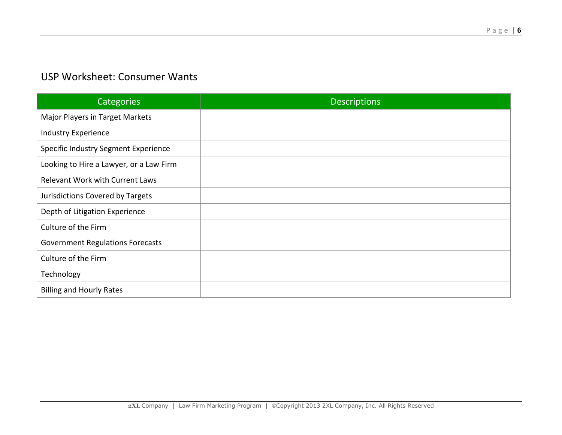### USP Worksheet: Consumer Wants

| Categories                              | <b>Descriptions</b> |
|-----------------------------------------|---------------------|
| Major Players in Target Markets         |                     |
| <b>Industry Experience</b>              |                     |
| Specific Industry Segment Experience    |                     |
| Looking to Hire a Lawyer, or a Law Firm |                     |
| <b>Relevant Work with Current Laws</b>  |                     |
| Jurisdictions Covered by Targets        |                     |
| Depth of Litigation Experience          |                     |
| Culture of the Firm                     |                     |
| <b>Government Regulations Forecasts</b> |                     |
| Culture of the Firm                     |                     |
| Technology                              |                     |
| <b>Billing and Hourly Rates</b>         |                     |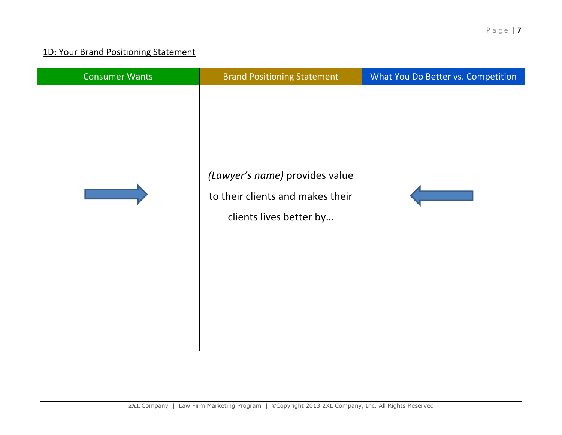### 1D: Your Brand Positioning Statement

| <b>Consumer Wants</b> | <b>Brand Positioning Statement</b>                                                            | What You Do Better vs. Competition |
|-----------------------|-----------------------------------------------------------------------------------------------|------------------------------------|
|                       | (Lawyer's name) provides value<br>to their clients and makes their<br>clients lives better by |                                    |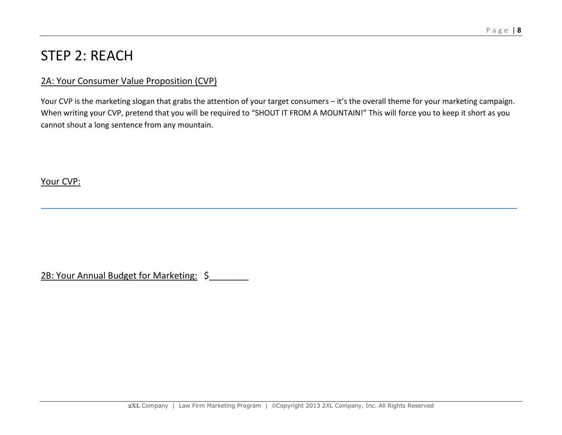## STEP 2: REACH

#### 2A: Your Consumer Value Proposition (CVP)

Your CVP is the marketing slogan that grabs the attention of your target consumers – it's the overall theme for your marketing campaign. When writing your CVP, pretend that you will be required to "SHOUT IT FROM A MOUNTAIN!" This will force you to keep it short as you cannot shout a long sentence from any mountain.

Your CVP:

2B: Your Annual Budget for Marketing: \$